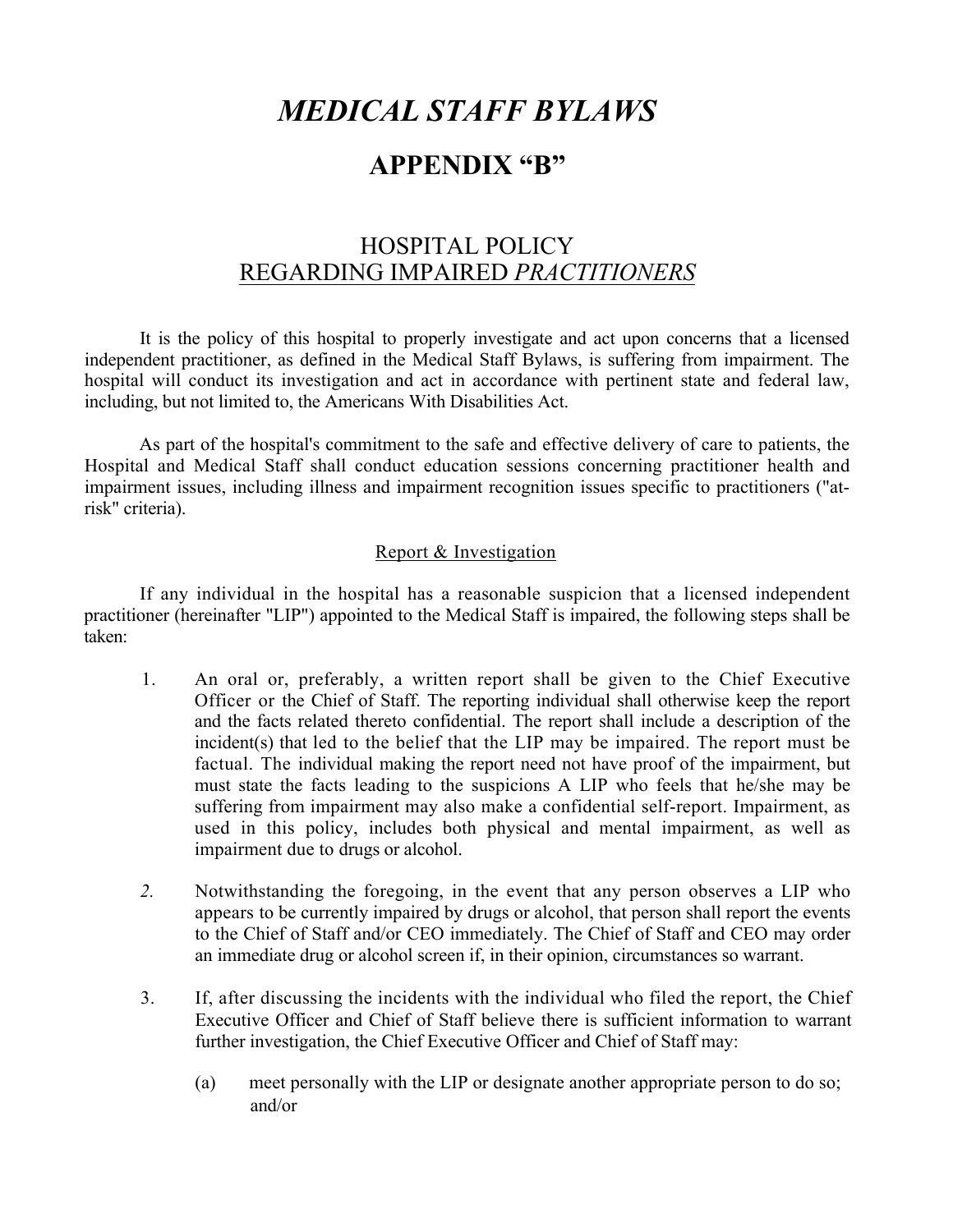# *MEDICAL STAFF BYLAWS*

# **APPENDIX "B"**

# HOSPITAL POLICY REGARDING IMPAIRED *PRACTITIONERS*

It is the policy of this hospital to properly investigate and act upon concerns that a licensed independent practitioner, as defined in the Medical Staff Bylaws, is suffering from impairment. The hospital will conduct its investigation and act in accordance with pertinent state and federal law, including, but not limited to, the Americans With Disabilities Act.

As part of the hospital's commitment to the safe and effective delivery of care to patients, the Hospital and Medical Staff shall conduct education sessions concerning practitioner health and impairment issues, including illness and impairment recognition issues specific to practitioners ("atrisk" criteria).

### Report & Investigation

If any individual in the hospital has a reasonable suspicion that a licensed independent practitioner (hereinafter "LIP") appointed to the Medical Staff is impaired, the following steps shall be taken:

- 1. An oral or, preferably, a written report shall be given to the Chief Executive Officer or the Chief of Staff. The reporting individual shall otherwise keep the report and the facts related thereto confidential. The report shall include a description of the incident(s) that led to the belief that the LIP may be impaired. The report must be factual. The individual making the report need not have proof of the impairment, but must state the facts leading to the suspicions A LIP who feels that he/she may be suffering from impairment may also make a confidential self-report. Impairment, as used in this policy, includes both physical and mental impairment, as well as impairment due to drugs or alcohol.
- *2.* Notwithstanding the foregoing, in the event that any person observes a LIP who appears to be currently impaired by drugs or alcohol, that person shall report the events to the Chief of Staff and/or CEO immediately. The Chief of Staff and CEO may order an immediate drug or alcohol screen if, in their opinion, circumstances so warrant.
- 3. If, after discussing the incidents with the individual who filed the report, the Chief Executive Officer and Chief of Staff believe there is sufficient information to warrant further investigation, the Chief Executive Officer and Chief of Staff may:
	- (a) meet personally with the LIP or designate another appropriate person to do so; and/or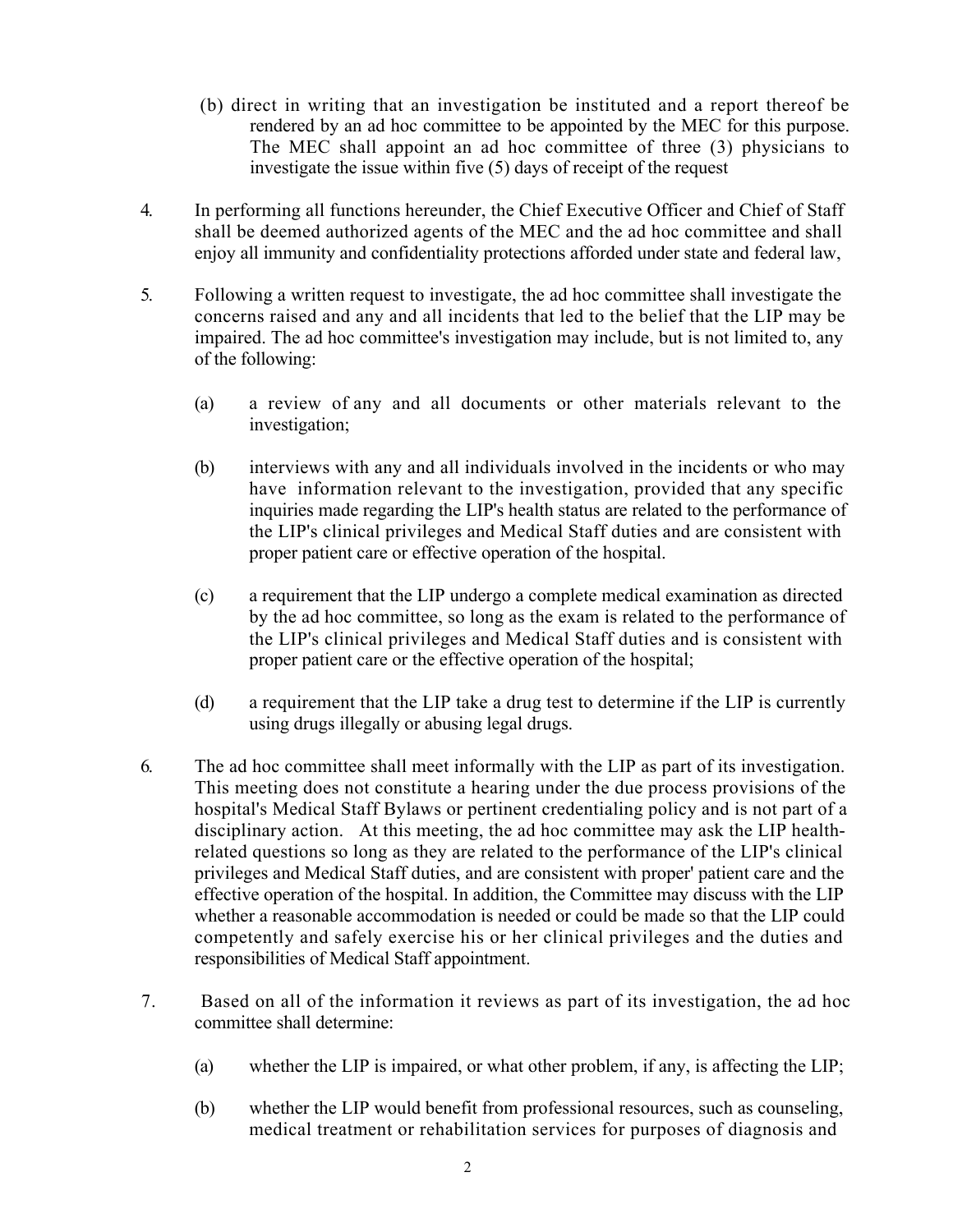- (b) direct in writing that an investigation be instituted and a report thereof be rendered by an ad hoc committee to be appointed by the MEC for this purpose. The MEC shall appoint an ad hoc committee of three (3) physicians to investigate the issue within five (5) days of receipt of the request
- 4. In performing all functions hereunder, the Chief Executive Officer and Chief of Staff shall be deemed authorized agents of the MEC and the ad hoc committee and shall enjoy all immunity and confidentiality protections afforded under state and federal law,
- 5. Following a written request to investigate, the ad hoc committee shall investigate the concerns raised and any and all incidents that led to the belief that the LIP may be impaired. The ad hoc committee's investigation may include, but is not limited to, any of the following:
	- (a) a review of any and all documents or other materials relevant to the investigation;
	- (b) interviews with any and all individuals involved in the incidents or who may have information relevant to the investigation, provided that any specific inquiries made regarding the LIP's health status are related to the performance of the LIP's clinical privileges and Medical Staff duties and are consistent with proper patient care or effective operation of the hospital.
	- (c) a requirement that the LIP undergo a complete medical examination as directed by the ad hoc committee, so long as the exam is related to the performance of the LIP's clinical privileges and Medical Staff duties and is consistent with proper patient care or the effective operation of the hospital;
	- (d) a requirement that the LIP take a drug test to determine if the LIP is currently using drugs illegally or abusing legal drugs.
- 6. The ad hoc committee shall meet informally with the LIP as part of its investigation. This meeting does not constitute a hearing under the due process provisions of the hospital's Medical Staff Bylaws or pertinent credentialing policy and is not part of a disciplinary action. At this meeting, the ad hoc committee may ask the LIP healthrelated questions so long as they are related to the performance of the LIP's clinical privileges and Medical Staff duties, and are consistent with proper' patient care and the effective operation of the hospital. In addition, the Committee may discuss with the LIP whether a reasonable accommodation is needed or could be made so that the LIP could competently and safely exercise his or her clinical privileges and the duties and responsibilities of Medical Staff appointment.
- 7.Based on all of the information it reviews as part of its investigation, the ad hoc committee shall determine:
	- (a) whether the LIP is impaired, or what other problem, if any, is affecting the LIP;
	- (b) whether the LIP would benefit from professional resources, such as counseling, medical treatment or rehabilitation services for purposes of diagnosis and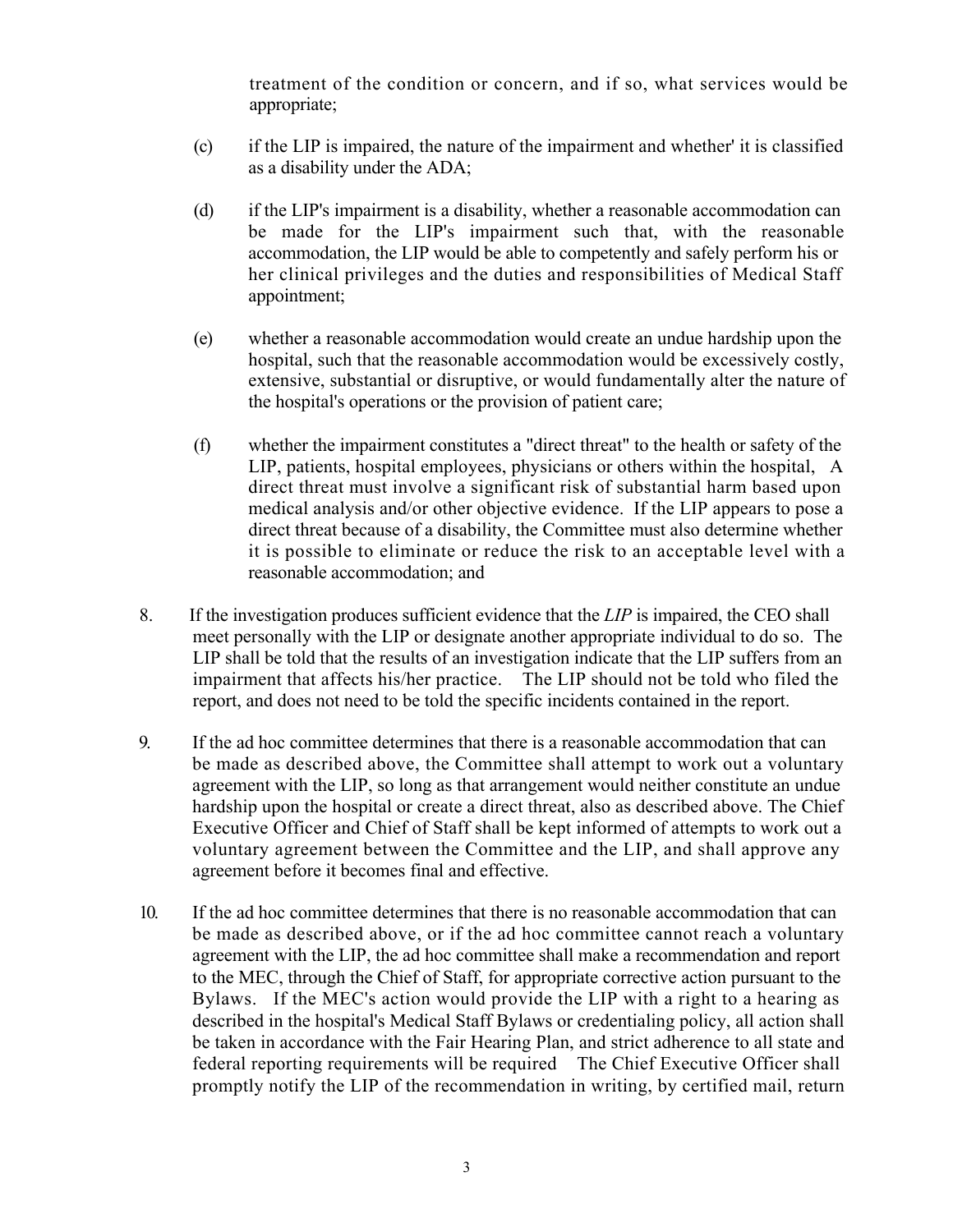treatment of the condition or concern, and if so, what services would be appropriate;

- (c) if the LIP is impaired, the nature of the impairment and whether' it is classified as a disability under the ADA;
- (d) if the LIP's impairment is a disability, whether a reasonable accommodation can be made for the LIP's impairment such that, with the reasonable accommodation, the LIP would be able to competently and safely perform his or her clinical privileges and the duties and responsibilities of Medical Staff appointment;
- (e) whether a reasonable accommodation would create an undue hardship upon the hospital, such that the reasonable accommodation would be excessively costly, extensive, substantial or disruptive, or would fundamentally alter the nature of the hospital's operations or the provision of patient care;
- (f) whether the impairment constitutes a "direct threat" to the health or safety of the LIP, patients, hospital employees, physicians or others within the hospital, A direct threat must involve a significant risk of substantial harm based upon medical analysis and/or other objective evidence. If the LIP appears to pose a direct threat because of a disability, the Committee must also determine whether it is possible to eliminate or reduce the risk to an acceptable level with a reasonable accommodation; and
- 8. If the investigation produces sufficient evidence that the *LIP* is impaired, the CEO shall meet personally with the LIP or designate another appropriate individual to do so. The LIP shall be told that the results of an investigation indicate that the LIP suffers from an impairment that affects his/her practice. The LIP should not be told who filed the report, and does not need to be told the specific incidents contained in the report.
- 9. If the ad hoc committee determines that there is a reasonable accommodation that can be made as described above, the Committee shall attempt to work out a voluntary agreement with the LIP, so long as that arrangement would neither constitute an undue hardship upon the hospital or create a direct threat, also as described above. The Chief Executive Officer and Chief of Staff shall be kept informed of attempts to work out a voluntary agreement between the Committee and the LIP, and shall approve any agreement before it becomes final and effective.
- 10. If the ad hoc committee determines that there is no reasonable accommodation that can be made as described above, or if the ad hoc committee cannot reach a voluntary agreement with the LIP, the ad hoc committee shall make a recommendation and report to the MEC, through the Chief of Staff, for appropriate corrective action pursuant to the Bylaws. If the MEC's action would provide the LIP with a right to a hearing as described in the hospital's Medical Staff Bylaws or credentialing policy, all action shall be taken in accordance with the Fair Hearing Plan, and strict adherence to all state and federal reporting requirements will be required The Chief Executive Officer shall promptly notify the LIP of the recommendation in writing, by certified mail, return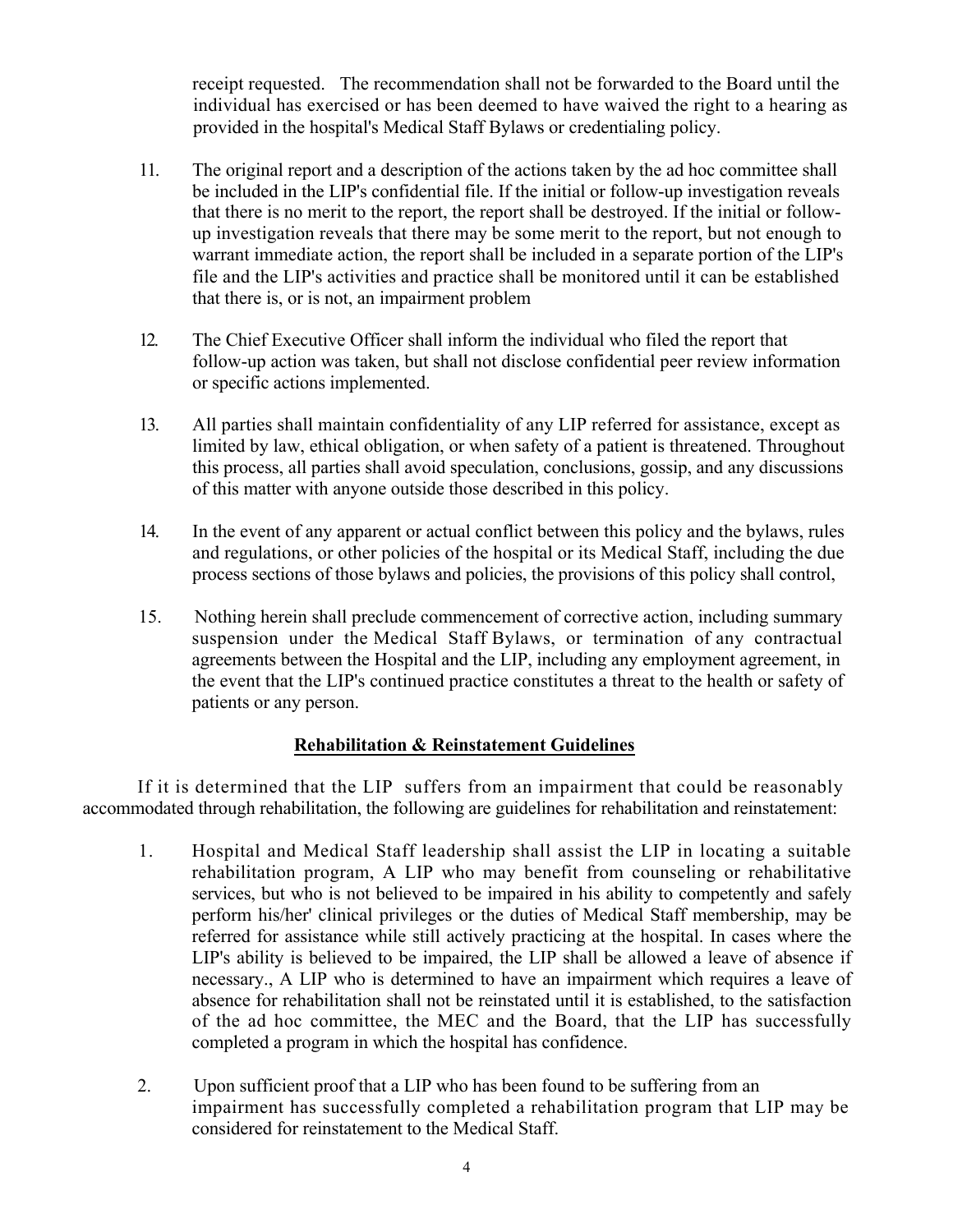receipt requested. The recommendation shall not be forwarded to the Board until the individual has exercised or has been deemed to have waived the right to a hearing as provided in the hospital's Medical Staff Bylaws or credentialing policy.

- 11. The original report and a description of the actions taken by the ad hoc committee shall be included in the LIP's confidential file. If the initial or follow-up investigation reveals that there is no merit to the report, the report shall be destroyed. If the initial or followup investigation reveals that there may be some merit to the report, but not enough to warrant immediate action, the report shall be included in a separate portion of the LIP's file and the LIP's activities and practice shall be monitored until it can be established that there is, or is not, an impairment problem
- 12. The Chief Executive Officer shall inform the individual who filed the report that follow-up action was taken, but shall not disclose confidential peer review information or specific actions implemented.
- 13. All parties shall maintain confidentiality of any LIP referred for assistance, except as limited by law, ethical obligation, or when safety of a patient is threatened. Throughout this process, all parties shall avoid speculation, conclusions, gossip, and any discussions of this matter with anyone outside those described in this policy.
- 14. In the event of any apparent or actual conflict between this policy and the bylaws, rules and regulations, or other policies of the hospital or its Medical Staff, including the due process sections of those bylaws and policies, the provisions of this policy shall control,
- 15. Nothing herein shall preclude commencement of corrective action, including summary suspension under the Medical Staff Bylaws, or termination of any contractual agreements between the Hospital and the LIP, including any employment agreement, in the event that the LIP's continued practice constitutes a threat to the health or safety of patients or any person.

# **Rehabilitation & Reinstatement Guidelines**

If it is determined that the LIP suffers from an impairment that could be reasonably accommodated through rehabilitation, the following are guidelines for rehabilitation and reinstatement:

- 1. Hospital and Medical Staff leadership shall assist the LIP in locating a suitable rehabilitation program, A LIP who may benefit from counseling or rehabilitative services, but who is not believed to be impaired in his ability to competently and safely perform his/her' clinical privileges or the duties of Medical Staff membership, may be referred for assistance while still actively practicing at the hospital. In cases where the LIP's ability is believed to be impaired, the LIP shall be allowed a leave of absence if necessary., A LIP who is determined to have an impairment which requires a leave of absence for rehabilitation shall not be reinstated until it is established, to the satisfaction of the ad hoc committee, the MEC and the Board, that the LIP has successfully completed a program in which the hospital has confidence.
- 2. Upon sufficient proof that a LIP who has been found to be suffering from an impairment has successfully completed a rehabilitation program that LIP may be considered for reinstatement to the Medical Staff.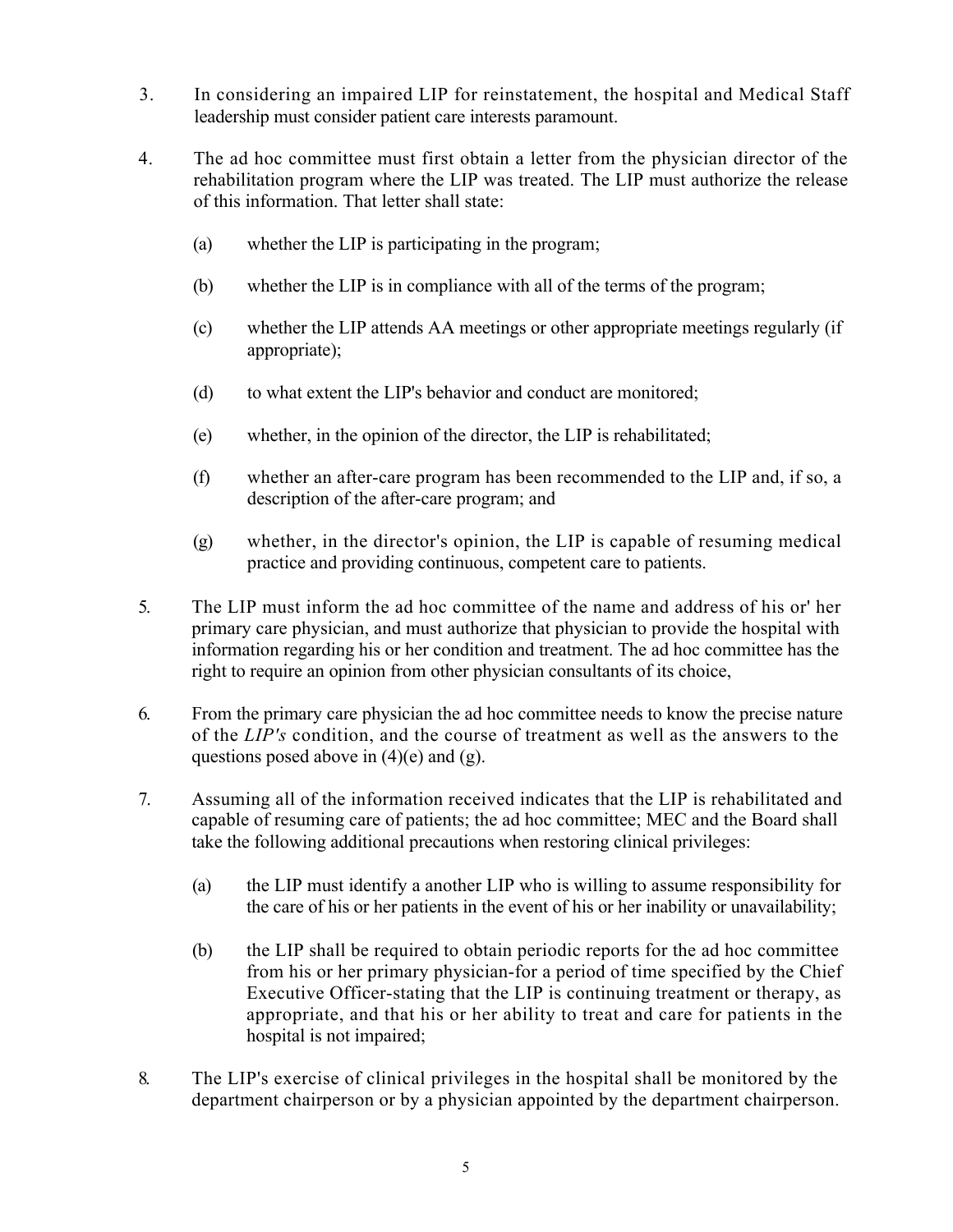- 3. In considering an impaired LIP for reinstatement, the hospital and Medical Staff leadership must consider patient care interests paramount.
- 4. The ad hoc committee must first obtain a letter from the physician director of the rehabilitation program where the LIP was treated. The LIP must authorize the release of this information. That letter shall state:
	- (a) whether the LIP is participating in the program;
	- (b) whether the LIP is in compliance with all of the terms of the program;
	- (c) whether the LIP attends AA meetings or other appropriate meetings regularly (if appropriate);
	- (d) to what extent the LIP's behavior and conduct are monitored;
	- (e) whether, in the opinion of the director, the LIP is rehabilitated;
	- (f) whether an after-care program has been recommended to the LIP and, if so, a description of the after-care program; and
	- (g) whether, in the director's opinion, the LIP is capable of resuming medical practice and providing continuous, competent care to patients.
- 5. The LIP must inform the ad hoc committee of the name and address of his or' her primary care physician, and must authorize that physician to provide the hospital with information regarding his or her condition and treatment. The ad hoc committee has the right to require an opinion from other physician consultants of its choice,
- 6. From the primary care physician the ad hoc committee needs to know the precise nature of the *LIP's* condition, and the course of treatment as well as the answers to the questions posed above in  $(4)(e)$  and  $(g)$ .
- 7. Assuming all of the information received indicates that the LIP is rehabilitated and capable of resuming care of patients; the ad hoc committee; MEC and the Board shall take the following additional precautions when restoring clinical privileges:
	- (a) the LIP must identify a another LIP who is willing to assume responsibility for the care of his or her patients in the event of his or her inability or unavailability;
	- (b) the LIP shall be required to obtain periodic reports for the ad hoc committee from his or her primary physician-for a period of time specified by the Chief Executive Officer-stating that the LIP is continuing treatment or therapy, as appropriate, and that his or her ability to treat and care for patients in the hospital is not impaired;
- 8. The LIP's exercise of clinical privileges in the hospital shall be monitored by the department chairperson or by a physician appointed by the department chairperson.